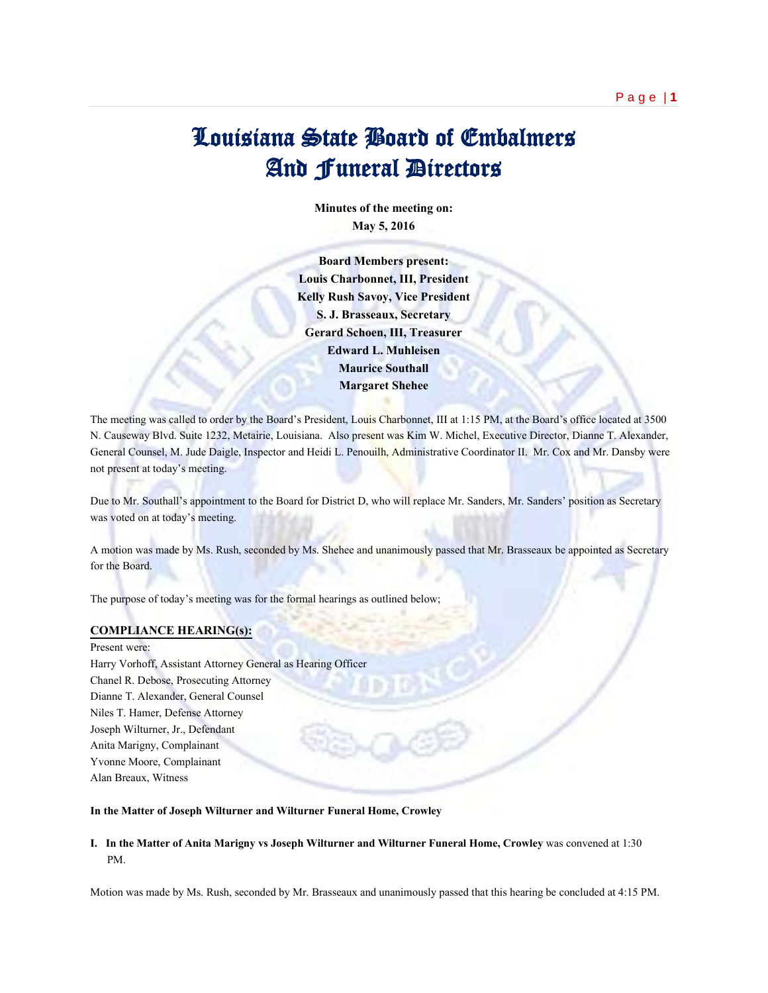**Minutes of the meeting on: May 5, 2016**

**Board Members present: Louis Charbonnet, III, President Kelly Rush Savoy, Vice President S. J. Brasseaux, Secretary Gerard Schoen, III, Treasurer Edward L. Muhleisen Maurice Southall Margaret Shehee**

The meeting was called to order by the Board's President, Louis Charbonnet, III at 1:15 PM, at the Board's office located at 3500 N. Causeway Blvd. Suite 1232, Metairie, Louisiana. Also present was Kim W. Michel, Executive Director, Dianne T. Alexander, General Counsel, M. Jude Daigle, Inspector and Heidi L. Penouilh, Administrative Coordinator II. Mr. Cox and Mr. Dansby were not present at today's meeting.

Due to Mr. Southall's appointment to the Board for District D, who will replace Mr. Sanders, Mr. Sanders' position as Secretary was voted on at today's meeting.

A motion was made by Ms. Rush, seconded by Ms. Shehee and unanimously passed that Mr. Brasseaux be appointed as Secretary for the Board.

The purpose of today's meeting was for the formal hearings as outlined below;

## **COMPLIANCE HEARING(s):**

Present were: Harry Vorhoff, Assistant Attorney General as Hearing Officer Chanel R. Debose, Prosecuting Attorney Dianne T. Alexander, General Counsel Niles T. Hamer, Defense Attorney Joseph Wilturner, Jr., Defendant Anita Marigny, Complainant Yvonne Moore, Complainant Alan Breaux, Witness

## **In the Matter of Joseph Wilturner and Wilturner Funeral Home, Crowley**

## **I. In the Matter of Anita Marigny vs Joseph Wilturner and Wilturner Funeral Home, Crowley** was convened at 1:30 PM.

Motion was made by Ms. Rush, seconded by Mr. Brasseaux and unanimously passed that this hearing be concluded at 4:15 PM.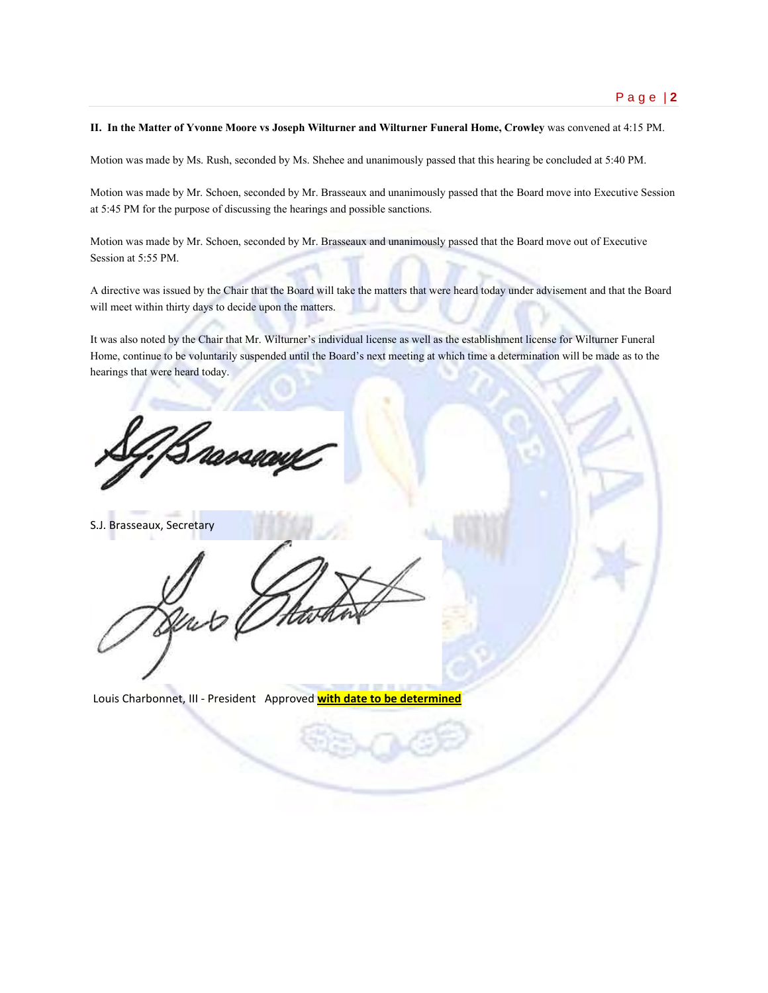**II. In the Matter of Yvonne Moore vs Joseph Wilturner and Wilturner Funeral Home, Crowley** was convened at 4:15 PM.

Motion was made by Ms. Rush, seconded by Ms. Shehee and unanimously passed that this hearing be concluded at 5:40 PM.

Motion was made by Mr. Schoen, seconded by Mr. Brasseaux and unanimously passed that the Board move into Executive Session at 5:45 PM for the purpose of discussing the hearings and possible sanctions.

Motion was made by Mr. Schoen, seconded by Mr. Brasseaux and unanimously passed that the Board move out of Executive Session at 5:55 PM.

A directive was issued by the Chair that the Board will take the matters that were heard today under advisement and that the Board will meet within thirty days to decide upon the matters.

It was also noted by the Chair that Mr. Wilturner's individual license as well as the establishment license for Wilturner Funeral Home, continue to be voluntarily suspended until the Board's next meeting at which time a determination will be made as to the hearings that were heard today.

rances

S.J. Brasseaux, Secretary

Louis Charbonnet, III - President Approved **with date to be determined**